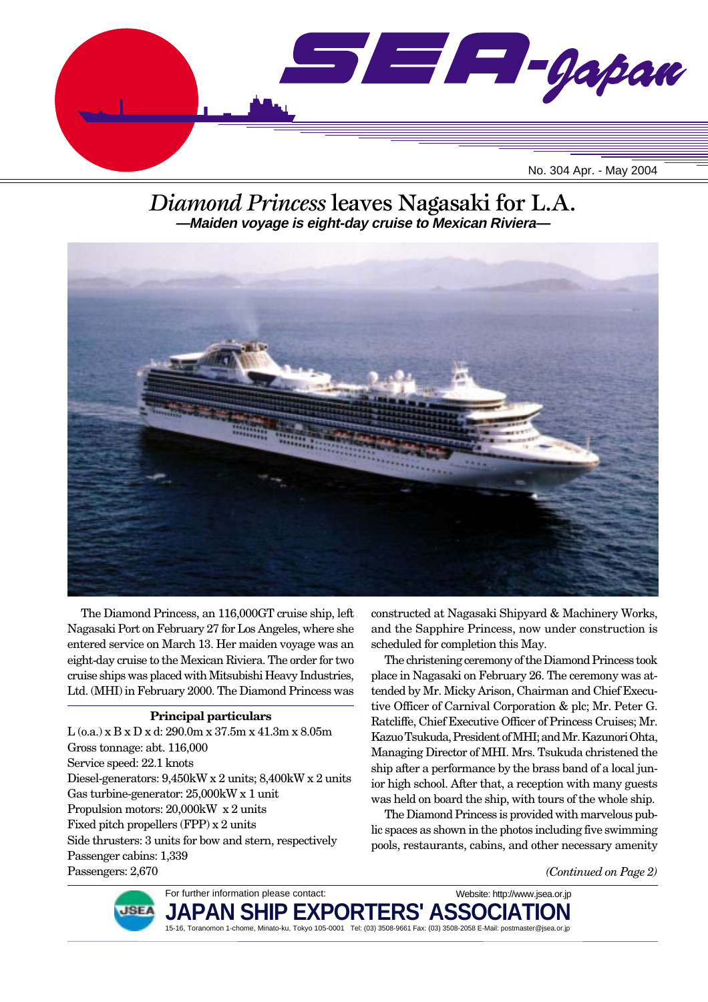

## *Diamond Princess* leaves Nagasaki for L.A. **—Maiden voyage is eight-day cruise to Mexican Riviera—**



The Diamond Princess, an 116,000GT cruise ship, left Nagasaki Port on February 27 for Los Angeles, where she entered service on March 13. Her maiden voyage was an eight-day cruise to the Mexican Riviera. The order for two cruise ships was placed with Mitsubishi Heavy Industries, Ltd. (MHI) in February 2000. The Diamond Princess was

### **Principal particulars**

L (o.a.) x B x D x d: 290.0m x 37.5m x 41.3m x 8.05m Gross tonnage: abt. 116,000 Service speed: 22.1 knots Diesel-generators: 9,450kW x 2 units; 8,400kW x 2 units Gas turbine-generator: 25,000kW x 1 unit Propulsion motors: 20,000kW x 2 units Fixed pitch propellers (FPP) x 2 units Side thrusters: 3 units for bow and stern, respectively Passenger cabins: 1,339 Passengers: 2,670

constructed at Nagasaki Shipyard & Machinery Works, and the Sapphire Princess, now under construction is scheduled for completion this May.

The christening ceremony of the Diamond Princess took place in Nagasaki on February 26. The ceremony was attended by Mr. Micky Arison, Chairman and Chief Executive Officer of Carnival Corporation & plc; Mr. Peter G. Ratcliffe, Chief Executive Officer of Princess Cruises; Mr. Kazuo Tsukuda, President of MHI; and Mr. Kazunori Ohta, Managing Director of MHI. Mrs. Tsukuda christened the ship after a performance by the brass band of a local junior high school. After that, a reception with many guests was held on board the ship, with tours of the whole ship.

The Diamond Princess is provided with marvelous public spaces as shown in the photos including five swimming pools, restaurants, cabins, and other necessary amenity

Website: http://www.jsea.or.jp

*(Continued on Page 2)*



**JAPAN SHIP EXPORTERS' ASSO** 15-16, Toranomon 1-chome, Minato-ku, Tokyo 105-0001 Tel: (03) 3508-9661 Fax: (03) 3508-2058 E-Mail: postmaster@jsea.or.jp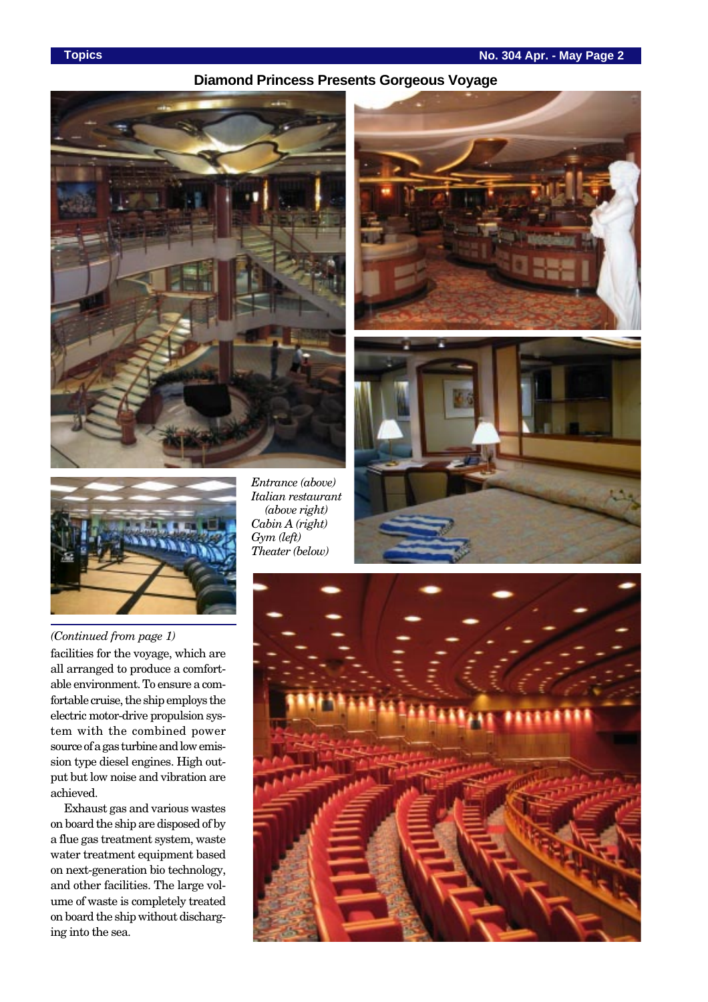## **Diamond Princess Presents Gorgeous Voyage**





*Entrance (above) Italian restaurant (above right) Cabin A (right) Gym (left) Theater (below)*







*(Continued from page 1)*

facilities for the voyage, which are all arranged to produce a comfortable environment. To ensure a comfortable cruise, the ship employs the electric motor-drive propulsion system with the combined power source of a gas turbine and low emission type diesel engines. High output but low noise and vibration are achieved.

Exhaust gas and various wastes on board the ship are disposed of by a flue gas treatment system, waste water treatment equipment based on next-generation bio technology, and other facilities. The large volume of waste is completely treated on board the ship without discharging into the sea.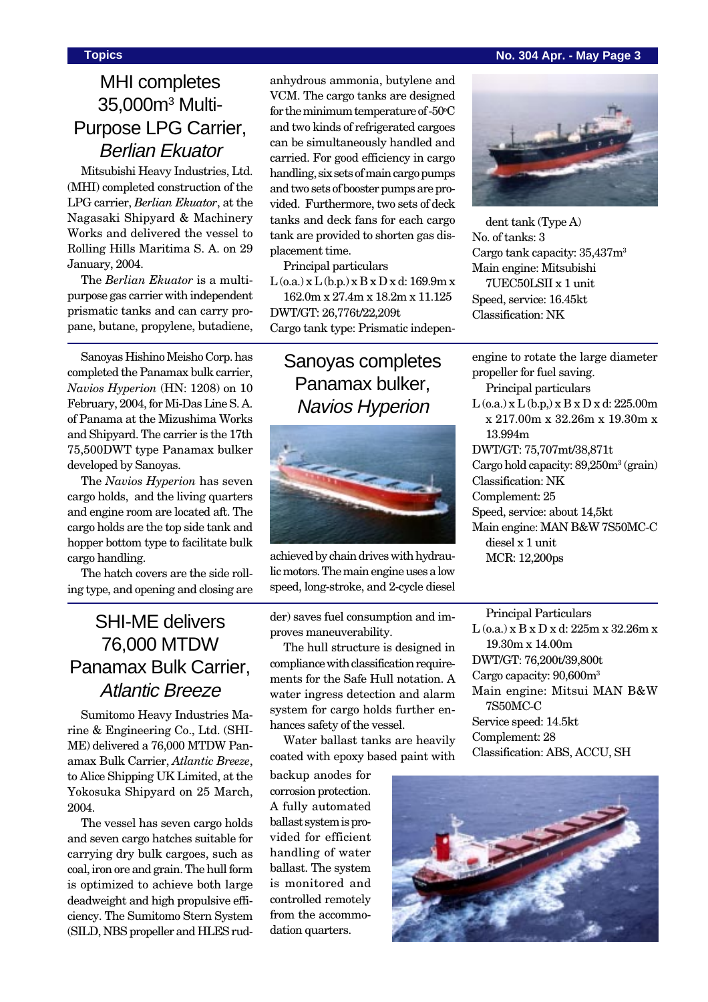### **Topics No. 304 Apr. - May Page 3**

# MHI completes 35,000m3 Multi-Purpose LPG Carrier, Berlian Ekuator

Mitsubishi Heavy Industries, Ltd. (MHI) completed construction of the LPG carrier, *Berlian Ekuator*, at the Nagasaki Shipyard & Machinery Works and delivered the vessel to Rolling Hills Maritima S. A. on 29 January, 2004.

The *Berlian Ekuator* is a multipurpose gas carrier with independent prismatic tanks and can carry propane, butane, propylene, butadiene,

Sanoyas Hishino Meisho Corp. has completed the Panamax bulk carrier, *Navios Hyperion* (HN: 1208) on 10 February, 2004, for Mi-Das Line S. A. of Panama at the Mizushima Works and Shipyard. The carrier is the 17th 75,500DWT type Panamax bulker developed by Sanoyas.

The *Navios Hyperion* has seven cargo holds, and the living quarters and engine room are located aft. The cargo holds are the top side tank and hopper bottom type to facilitate bulk cargo handling.

The hatch covers are the side rolling type, and opening and closing are

# SHI-ME delivers 76,000 MTDW Panamax Bulk Carrier, Atlantic Breeze

Sumitomo Heavy Industries Marine & Engineering Co., Ltd. (SHI-ME) delivered a 76,000 MTDW Panamax Bulk Carrier, *Atlantic Breeze*, to Alice Shipping UK Limited, at the Yokosuka Shipyard on 25 March, 2004.

The vessel has seven cargo holds and seven cargo hatches suitable for carrying dry bulk cargoes, such as coal, iron ore and grain. The hull form is optimized to achieve both large deadweight and high propulsive efficiency. The Sumitomo Stern System (SILD, NBS propeller and HLES rudanhydrous ammonia, butylene and VCM. The cargo tanks are designed for the minimum temperature of -50°C and two kinds of refrigerated cargoes can be simultaneously handled and carried. For good efficiency in cargo handling, six sets of main cargo pumps and two sets of booster pumps are provided. Furthermore, two sets of deck tanks and deck fans for each cargo tank are provided to shorten gas displacement time.

Principal particulars

 $L$  (o.a.)  $x L$  (b.p.)  $x B x D x d$ : 169.9m  $x$ 162.0m x 27.4m x 18.2m x 11.125

DWT/GT: 26,776t/22,209t Cargo tank type: Prismatic indepen-

# Sanoyas completes Panamax bulker, Navios Hyperion



achieved by chain drives with hydraulic motors. The main engine uses a low speed, long-stroke, and 2-cycle diesel

der) saves fuel consumption and improves maneuverability.

The hull structure is designed in compliance with classification requirements for the Safe Hull notation. A water ingress detection and alarm system for cargo holds further enhances safety of the vessel.

Water ballast tanks are heavily coated with epoxy based paint with

backup anodes for corrosion protection. A fully automated ballast system is provided for efficient handling of water ballast. The system is monitored and controlled remotely from the accommodation quarters.



dent tank (Type A) No. of tanks: 3 Cargo tank capacity: 35,437m3 Main engine: Mitsubishi 7UEC50LSII x 1 unit Speed, service: 16.45kt Classification: NK

engine to rotate the large diameter propeller for fuel saving. Principal particulars  $L$  (o.a.) x  $L$  (b.p.) x  $B$  x  $D$  x d: 225.00m x 217.00m x 32.26m x 19.30m x 13.994m DWT/GT: 75,707mt/38,871t Cargo hold capacity: 89,250m<sup>3</sup> (grain) Classification: NK Complement: 25 Speed, service: about 14,5kt Main engine: MAN B&W 7S50MC-C diesel x 1 unit MCR: 12,200ps

Principal Particulars L (o.a.) x B x D x d: 225m x 32.26m x 19.30m x 14.00m DWT/GT: 76,200t/39,800t Cargo capacity: 90,600m3 Main engine: Mitsui MAN B&W 7S50MC-C Service speed: 14.5kt Complement: 28 Classification: ABS, ACCU, SH

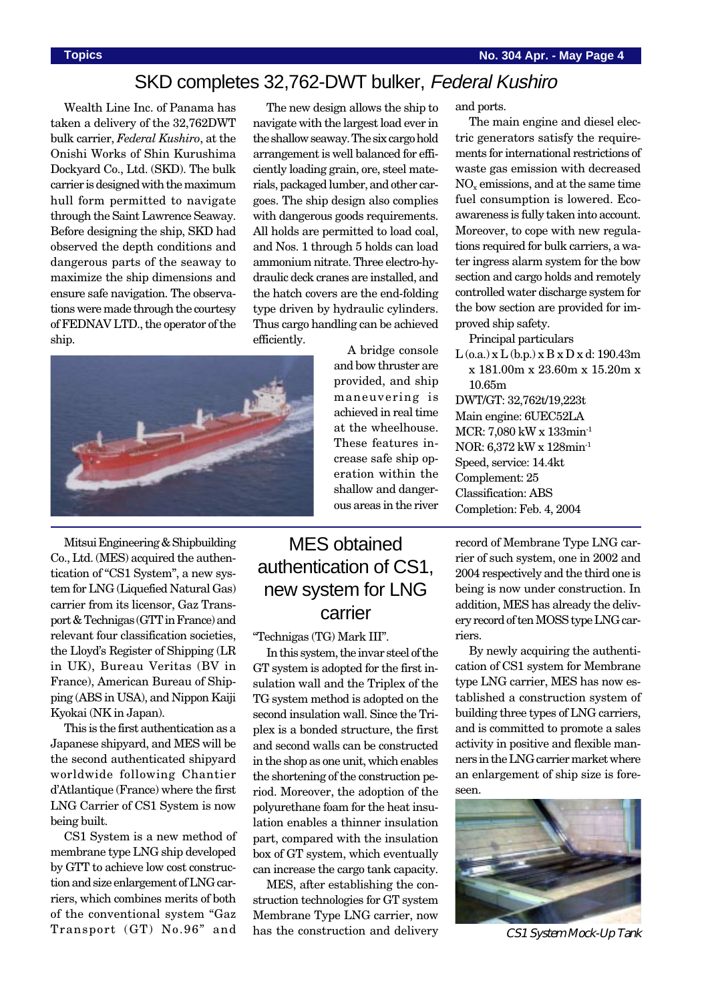## SKD completes 32,762-DWT bulker, Federal Kushiro

Wealth Line Inc. of Panama has taken a delivery of the 32,762DWT bulk carrier, *Federal Kushiro*, at the Onishi Works of Shin Kurushima Dockyard Co., Ltd. (SKD). The bulk carrier is designed with the maximum hull form permitted to navigate through the Saint Lawrence Seaway. Before designing the ship, SKD had observed the depth conditions and dangerous parts of the seaway to maximize the ship dimensions and ensure safe navigation. The observations were made through the courtesy of FEDNAV LTD., the operator of the ship.

The new design allows the ship to navigate with the largest load ever in the shallow seaway. The six cargo hold arrangement is well balanced for efficiently loading grain, ore, steel materials, packaged lumber, and other cargoes. The ship design also complies with dangerous goods requirements. All holds are permitted to load coal, and Nos. 1 through 5 holds can load ammonium nitrate. Three electro-hydraulic deck cranes are installed, and the hatch covers are the end-folding type driven by hydraulic cylinders. Thus cargo handling can be achieved efficiently. A bridge console

> and bow thruster are provided, and ship maneuvering is achieved in real time at the wheelhouse. These features increase safe ship operation within the shallow and dangerous areas in the river



Mitsui Engineering & Shipbuilding Co., Ltd. (MES) acquired the authentication of "CS1 System", a new system for LNG (Liquefied Natural Gas) carrier from its licensor, Gaz Transport & Technigas (GTT in France) and relevant four classification societies, the Lloyd's Register of Shipping (LR in UK), Bureau Veritas (BV in France), American Bureau of Shipping (ABS in USA), and Nippon Kaiji Kyokai (NK in Japan).

This is the first authentication as a Japanese shipyard, and MES will be the second authenticated shipyard worldwide following Chantier d'Atlantique (France) where the first LNG Carrier of CS1 System is now being built.

CS1 System is a new method of membrane type LNG ship developed by GTT to achieve low cost construction and size enlargement of LNG carriers, which combines merits of both of the conventional system "Gaz Transport (GT) No.96" and

# MES obtained authentication of CS1, new system for LNG carrier

"Technigas (TG) Mark III".

In this system, the invar steel of the GT system is adopted for the first insulation wall and the Triplex of the TG system method is adopted on the second insulation wall. Since the Triplex is a bonded structure, the first and second walls can be constructed in the shop as one unit, which enables the shortening of the construction period. Moreover, the adoption of the polyurethane foam for the heat insulation enables a thinner insulation part, compared with the insulation box of GT system, which eventually can increase the cargo tank capacity.

MES, after establishing the construction technologies for GT system Membrane Type LNG carrier, now has the construction and delivery and ports.

The main engine and diesel electric generators satisfy the requirements for international restrictions of waste gas emission with decreased NOx emissions, and at the same time fuel consumption is lowered. Ecoawareness is fully taken into account. Moreover, to cope with new regulations required for bulk carriers, a water ingress alarm system for the bow section and cargo holds and remotely controlled water discharge system for the bow section are provided for improved ship safety.

Principal particulars

 $L$  (o.a.) x  $L$  (b.p.) x  $B$  x  $D$  x d: 190.43m x 181.00m x 23.60m x 15.20m x 10.65m DWT/GT: 32,762t/19,223t Main engine: 6UEC52LA MCR: 7,080 kW x 133min-1 NOR: 6,372 kW x 128min-1

Speed, service: 14.4kt

Complement: 25

Classification: ABS

Completion: Feb. 4, 2004

record of Membrane Type LNG carrier of such system, one in 2002 and 2004 respectively and the third one is being is now under construction. In addition, MES has already the delivery record of ten MOSS type LNG carriers.

By newly acquiring the authentication of CS1 system for Membrane type LNG carrier, MES has now established a construction system of building three types of LNG carriers, and is committed to promote a sales activity in positive and flexible manners in the LNG carrier market where an enlargement of ship size is foreseen.



CS1 System Mock-Up Tank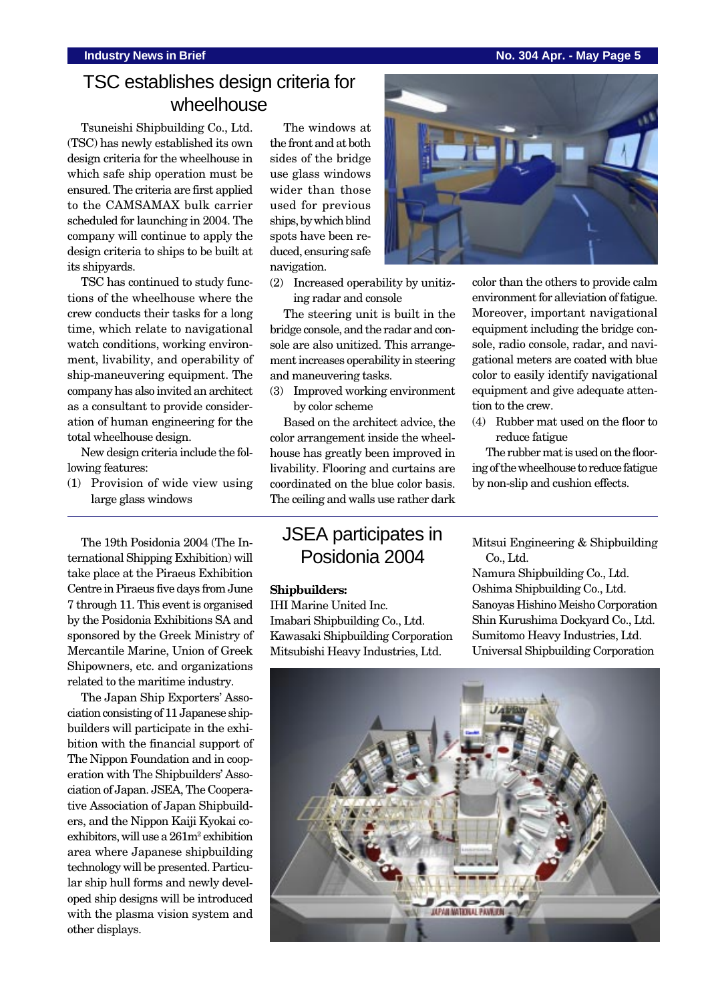### **Industry News in Brief No. 304 Apr. - May Page 5**

# TSC establishes design criteria for wheelhouse

Tsuneishi Shipbuilding Co., Ltd. (TSC) has newly established its own design criteria for the wheelhouse in which safe ship operation must be ensured. The criteria are first applied to the CAMSAMAX bulk carrier scheduled for launching in 2004. The company will continue to apply the design criteria to ships to be built at its shipyards.

TSC has continued to study functions of the wheelhouse where the crew conducts their tasks for a long time, which relate to navigational watch conditions, working environment, livability, and operability of ship-maneuvering equipment. The company has also invited an architect as a consultant to provide consideration of human engineering for the total wheelhouse design.

New design criteria include the following features:

(1) Provision of wide view using large glass windows

The 19th Posidonia 2004 (The International Shipping Exhibition) will take place at the Piraeus Exhibition Centre in Piraeus five days from June 7 through 11. This event is organised by the Posidonia Exhibitions SA and sponsored by the Greek Ministry of Mercantile Marine, Union of Greek Shipowners, etc. and organizations related to the maritime industry.

The Japan Ship Exporters' Association consisting of 11 Japanese shipbuilders will participate in the exhibition with the financial support of The Nippon Foundation and in cooperation with The Shipbuilders' Association of Japan. JSEA, The Cooperative Association of Japan Shipbuilders, and the Nippon Kaiji Kyokai coexhibitors, will use a  $261m^2$  exhibition area where Japanese shipbuilding technology will be presented. Particular ship hull forms and newly developed ship designs will be introduced with the plasma vision system and other displays.

The windows at the front and at both sides of the bridge use glass windows wider than those used for previous ships, by which blind spots have been reduced, ensuring safe navigation.



The steering unit is built in the bridge console, and the radar and console are also unitized. This arrangement increases operability in steering and maneuvering tasks.

(3) Improved working environment by color scheme

Based on the architect advice, the color arrangement inside the wheelhouse has greatly been improved in livability. Flooring and curtains are coordinated on the blue color basis. The ceiling and walls use rather dark

## JSEA participates in Posidonia 2004

### **Shipbuilders:**

IHI Marine United Inc. Imabari Shipbuilding Co., Ltd. Kawasaki Shipbuilding Corporation Mitsubishi Heavy Industries, Ltd.

color than the others to provide calm

environment for alleviation of fatigue. Moreover, important navigational equipment including the bridge console, radio console, radar, and navigational meters are coated with blue color to easily identify navigational equipment and give adequate attention to the crew.

(4) Rubber mat used on the floor to reduce fatigue

The rubber mat is used on the flooring of the wheelhouse to reduce fatigue by non-slip and cushion effects.

Mitsui Engineering & Shipbuilding Co., Ltd.

Namura Shipbuilding Co., Ltd. Oshima Shipbuilding Co., Ltd. Sanoyas Hishino Meisho Corporation Shin Kurushima Dockyard Co., Ltd. Sumitomo Heavy Industries, Ltd. Universal Shipbuilding Corporation